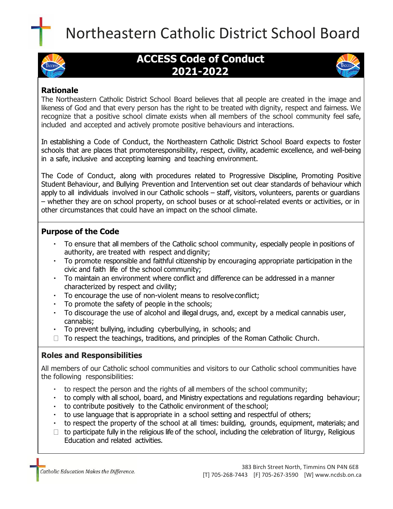



# **ACCESS Code of Conduct 2021-2022**



# **Rationale**

The Northeastern Catholic District School Board believes that all people are created in the image and likeness of God and that every person has the right to be treated with dignity, respect and fairness. We recognize that a positive school climate exists when all members of the school community feel safe, included and accepted and actively promote positive behaviours and interactions.

In establishing a Code of Conduct, the Northeastern Catholic District School Board expects to foster schools that are places that promoteresponsibility, respect, civility, academic excellence, and well-being in a safe, inclusive and accepting learning and teaching environment.

The Code of Conduct, along with procedures related to Progressive Discipline, Promoting Positive Student Behaviour, and Bullying Prevention and Intervention set out clear standards of behaviour which apply to all individuals involved in our Catholic schools – staff, visitors, volunteers, parents or guardians – whether they are on school property, on school buses or at school-related events or activities, or in other circumstances that could have an impact on the school climate.

## **Purpose of the Code**

- To ensure that all members of the Catholic school community, especially people in positions of authority, are treated with respect and dignity;
- To promote responsible and faithful citizenship by encouraging appropriate participation in the civic and faith life of the school community;
- To maintain an environment where conflict and difference can be addressed in a manner characterized by respect and civility;
- To encourage the use of non-violent means to resolve conflict;
- To promote the safety of people in the schools;
- To discourage the use of alcohol and illegal drugs, and, except by a medical cannabis user, cannabis;
- To prevent bullying, including cyberbullying, in schools; and
- $\Box$  To respect the teachings, traditions, and principles of the Roman Catholic Church.

## **Roles and Responsibilities**

All members of our Catholic school communities and visitors to our Catholic school communities have the following responsibilities:

- to respect the person and the rights of all members of the school community;
- to comply with all school, board, and Ministry expectations and regulations regarding behaviour;  $\mathbf{r}$  .
- to contribute positively to the Catholic environment of the school;
- to use language that is appropriate in a school setting and respectful of others;
- to respect the property of the school at all times: building, grounds, equipment, materials; and
- $\Box$  to participate fully in the religious life of the school, including the celebration of liturgy, Religious Education and related activities.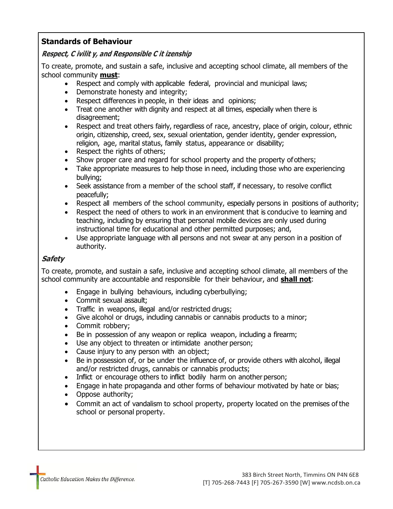## **Standards of Behaviour**

#### **Respect, C ivilit y, and Responsible C it izenship**

To create, promote, and sustain a safe, inclusive and accepting school climate, all members of the school community **must**:

- Respect and comply with applicable federal, provincial and municipal laws;
- Demonstrate honesty and integrity;
- Respect differences in people, in their ideas and opinions;
- Treat one another with dignity and respect at all times, especially when there is disagreement;
- Respect and treat others fairly, regardless of race, ancestry, place of origin, colour, ethnic origin, citizenship, creed, sex, sexual orientation, gender identity, gender expression, religion, age, marital status, family status, appearance or disability;
- Respect the rights of others;
- Show proper care and regard for school property and the property ofothers;
- Take appropriate measures to help those in need, including those who are experiencing bullying;
- Seek assistance from a member of the school staff, if necessary, to resolve conflict peacefully;
- Respect all members of the school community, especially persons in positions of authority;
- Respect the need of others to work in an environment that is conducive to learning and teaching, including by ensuring that personal mobile devices are only used during instructional time for educational and other permitted purposes; and,
- Use appropriate language with all persons and not swear at any person in a position of authority.

## **Safety**

To create, promote, and sustain a safe, inclusive and accepting school climate, all members of the school community are accountable and responsible for their behaviour, and **shall not**:

- Engage in bullying behaviours, including cyberbullying;
- Commit sexual assault;
- Traffic in weapons, illegal and/or restricted drugs;
- Give alcohol or drugs, including cannabis or cannabis products to a minor;
- Commit robbery;
- Be in possession of any weapon or replica weapon, including a firearm;
- Use any object to threaten or intimidate another person;
- Cause injury to any person with an object;
- Be in possession of, or be under the influence of, or provide others with alcohol, illegal and/or restricted drugs, cannabis or cannabis products;
- Inflict or encourage others to inflict bodily harm on another person;
- Engage in hate propaganda and other forms of behaviour motivated by hate or bias;
- Oppose authority;
- Commit an act of vandalism to school property, property located on the premises of the school or personal property.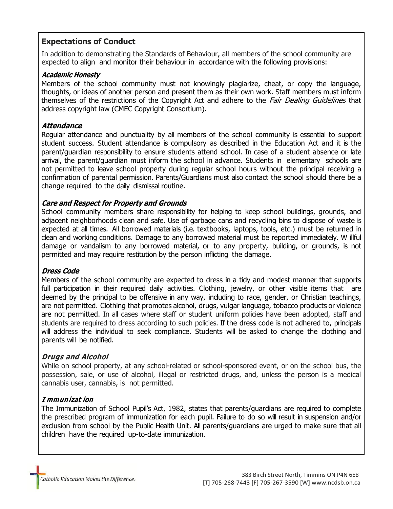## **Expectations of Conduct**

In addition to demonstrating the Standards of Behaviour, all members of the school community are expected to align and monitor their behaviour in accordance with the following provisions:

#### **Academic Honesty**

Members of the school community must not knowingly plagiarize, cheat, or copy the language, thoughts, or ideas of another person and present them as their own work. Staff members must inform themselves of the restrictions of the Copyright Act and adhere to the *Fair Dealing Guidelines* that address copyright law (CMEC Copyright Consortium).

#### **Attendance**

Regular attendance and punctuality by all members of the school community is essential to support student success. Student attendance is compulsory as described in the Education Act and it is the parent/guardian responsibility to ensure students attend school. In case of a student absence or late arrival, the parent/guardian must inform the school in advance. Students in elementary schools are not permitted to leave school property during regular school hours without the principal receiving a confirmation of parental permission. Parents/Guardians must also contact the school should there be a change required to the daily dismissal routine.

#### **Care and Respect for Property and Grounds**

School community members share responsibility for helping to keep school buildings, grounds, and adjacent neighborhoods clean and safe. Use of garbage cans and recycling bins to dispose of waste is expected at all times. All borrowed materials (i.e. textbooks, laptops, tools, etc.) must be returned in clean and working conditions. Damage to any borrowed material must be reported immediately. W illful damage or vandalism to any borrowed material, or to any property, building, or grounds, is not permitted and may require restitution by the person inflicting the damage.

#### **Dress Code**

Members of the school community are expected to dress in a tidy and modest manner that supports full participation in their required daily activities. Clothing, jewelry, or other visible items that are deemed by the principal to be offensive in any way, including to race, gender, or Christian teachings, are not permitted. Clothing that promotes alcohol, drugs, vulgar language, tobacco products or violence are not permitted. In all cases where staff or student uniform policies have been adopted, staff and students are required to dress according to such policies. If the dress code is not adhered to, principals will address the individual to seek compliance. Students will be asked to change the clothing and parents will be notified.

#### **Drugs and Alcohol**

While on school property, at any school-related or school-sponsored event, or on the school bus, the possession, sale, or use of alcohol, illegal or restricted drugs, and, unless the person is a medical cannabis user, cannabis, is not permitted.

#### **I mmunizat ion**

The Immunization of School Pupil's Act, 1982, states that parents/guardians are required to complete the prescribed program of immunization for each pupil. Failure to do so will result in suspension and/or exclusion from school by the Public Health Unit. All parents/guardians are urged to make sure that all children have the required up-to-date immunization.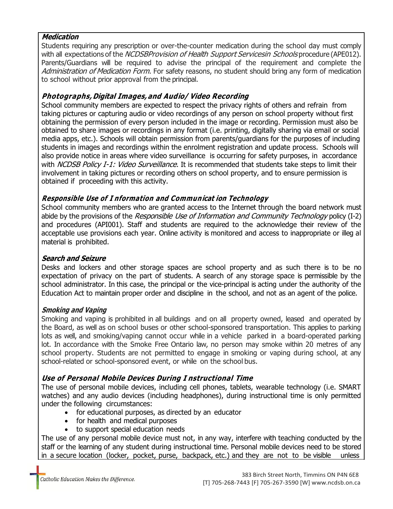#### **Medication**

Students requiring any prescription or over-the-counter medication during the school day must comply with all expectations of the *NCDSBProvision of Health Support Servicesin Schools* procedure (APE012). Parents/Guardians will be required to advise the principal of the requirement and complete the Administration of Medication Form. For safety reasons, no student should bring any form of medication to school without prior approval from the principal.

## **Photographs, Digital Images,and Audio/ Video Recording**

School community members are expected to respect the privacy rights of others and refrain from taking pictures or capturing audio or video recordings of any person on school property without first obtaining the permission of every person included in the image or recording. Permission must also be obtained to share images or recordings in any format (i.e. printing, digitally sharing via email or social media apps, etc.). Schools will obtain permission from parents/guardians for the purposes of including students in images and recordings within the enrolment registration and update process. Schools will also provide notice in areas where video surveillance is occurring for safety purposes, in accordance with NCDSB Policy I-1: Video Surveillance. It is recommended that students take steps to limit their involvement in taking pictures or recording others on school property, and to ensure permission is obtained if proceeding with this activity.

## **Responsible Use of I nformation and Communicat ion Technology**

School community members who are granted access to the Internet through the board network must abide by the provisions of the *Responsible Use of Information and Community Technology* policy (I-2) and procedures (API001). Staff and students are required to the acknowledge their review of the acceptable use provisions each year. Online activity is monitored and access to inappropriate or illeg al material is prohibited.

### **Search and Seizure**

Desks and lockers and other storage spaces are school property and as such there is to be no expectation of privacy on the part of students. A search of any storage space is permissible by the school administrator. In this case, the principal or the vice-principal is acting under the authority of the Education Act to maintain proper order and discipline in the school, and not as an agent of the police.

#### **Smoking and Vaping**

Smoking and vaping is prohibited in all buildings and on all property owned, leased and operated by the Board, as well as on school buses or other school-sponsored transportation. This applies to parking lots as well, and smoking/vaping cannot occur while in a vehicle parked in a board-operated parking lot. In accordance with the Smoke Free Ontario law, no person may smoke within 20 metres of any school property. Students are not permitted to engage in smoking or vaping during school, at any school-related or school-sponsored event, or while on the school bus.

## **Use of Personal Mobile Devices During I nstructional Time**

The use of personal mobile devices, including cell phones, tablets, wearable technology (i.e. SMART watches) and any audio devices (including headphones), during instructional time is only permitted under the following circumstances:

- for educational purposes, as directed by an educator
- for health and medical purposes
- to support special education needs

The use of any personal mobile device must not, in any way, interfere with teaching conducted by the staff or the learning of any student during instructional time. Personal mobile devices need to be stored in a secure location (locker, pocket, purse, backpack, etc.) and they are not to be visible unless